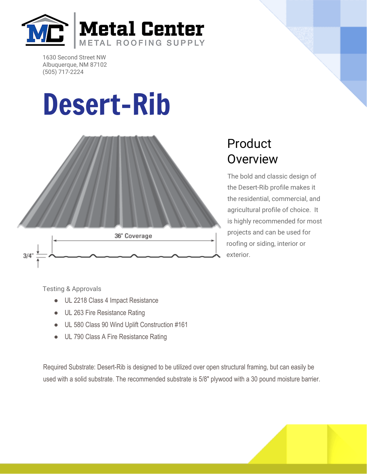

1630 Second Street NW Albuquerque, NM 87102 (505) 717-2224

## Desert-Rib



## Product **Overview**

The bold and classic design of the Desert-Rib profile makes it the residential, commercial, and agricultural profile of choice. It is highly recommended for most projects and can be used for roofing or siding, interior or exterior.

Testing & Approvals

- UL 2218 Class 4 Impact Resistance
- UL 263 Fire Resistance Rating
- UL 580 Class 90 Wind Uplift Construction #161
- UL 790 Class A Fire Resistance Rating

Required Substrate: Desert-Rib is designed to be utilized over open structural framing, but can easily be used with a solid substrate. The recommended substrate is 5/8" plywood with a 30 pound moisture barrier.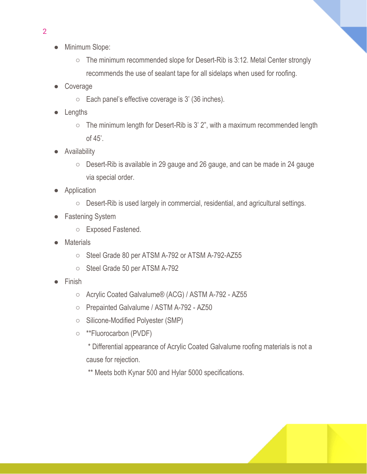- Minimum Slope:
	- The minimum recommended slope for Desert-Rib is 3:12. Metal Center strongly recommends the use of sealant tape for all sidelaps when used for roofing.
- Coverage
	- $\circ$  Each panel's effective coverage is 3' (36 inches).
- Lengths
	- The minimum length for Desert-Rib is 3' 2", with a maximum recommended length of 45'.
- Availability
	- Desert-Rib is available in 29 gauge and 26 gauge, and can be made in 24 gauge via special order.
- Application
	- Desert-Rib is used largely in commercial, residential, and agricultural settings.
- **Fastening System** 
	- Exposed Fastened.
- **Materials** 
	- Steel Grade 80 per ATSM A-792 or ATSM A-792-AZ55
	- Steel Grade 50 per ATSM A-792
- **Finish** 
	- Acrylic Coated Galvalume® (ACG) / ASTM A-792 AZ55
	- Prepainted Galvalume / ASTM A-792 AZ50
	- Silicone-Modified Polyester (SMP)
	- \*\*Fluorocarbon (PVDF)
		- \* Differential appearance of Acrylic Coated Galvalume roofing materials is not a cause for rejection.

\*\* Meets both Kynar 500 and Hylar 5000 specifications.